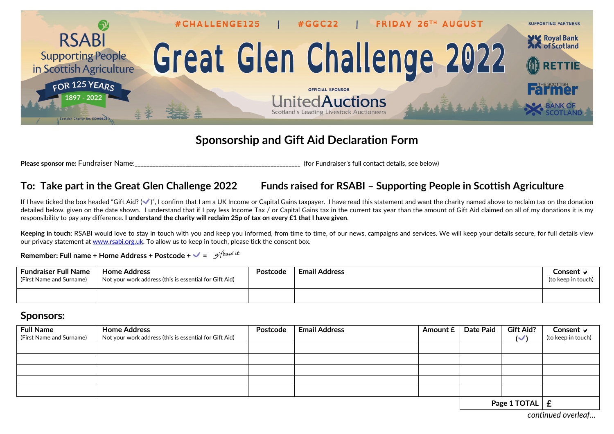

## **Sponsorship and Gift Aid Declaration Form**

**Please sponsor me: Fundraiser Name: Fundraiser and the seed of the seed of the seed of the seed of the seed of the seed of the seed of the seed of the seed of the seed of the seed of the seed of the seed of the seed of** 

## **To: Take part in the Great Glen Challenge 2022 Funds raised for RSABI – Supporting People in Scottish Agriculture**

If I have ticked the box headed "Gift Aid? ( $\vee$ )". I confirm that I am a UK Income or Capital Gains taxpayer. I have read this statement and want the charity named above to reclaim tax on the donation detailed below, given on the date shown. I understand that if I pay less Income Tax / or Capital Gains tax in the current tax year than the amount of Gift Aid claimed on all of my donations it is my responsibility to pay any difference. **I understand the charity will reclaim 25p of tax on every £1 that I have given**.

**Keeping in touch**: RSABI would love to stay in touch with you and keep you informed, from time to time, of our news, campaigns and services. We will keep your details secure, for full details view our privacy statement at [www.rsabi.org.uk.](http://www.rsabi.org.uk/) To allow us to keep in touch, please tick the consent box.

**Remember: Full name + Home Address + Postcode +**  $\sqrt{ }$  **=** giftaid it

| Fundraiser Full Name<br>(First Name and Surname) | <b>Home Address</b><br>Not your work address (this is essential for Gift Aid) | <b>Postcode</b> | <b>Email Address</b> | Consent ⊢<br>(to keep in touch) |
|--------------------------------------------------|-------------------------------------------------------------------------------|-----------------|----------------------|---------------------------------|
|                                                  |                                                                               |                 |                      |                                 |

## **Sponsors:**

| <b>Full Name</b><br>(First Name and Surname) | <b>Home Address</b><br>Not your work address (this is essential for Gift Aid) | Postcode | <b>Email Address</b> | Amount £ | Date Paid | <b>Gift Aid?</b><br>$\sim$ | Consent $\vee$<br>(to keep in touch) |
|----------------------------------------------|-------------------------------------------------------------------------------|----------|----------------------|----------|-----------|----------------------------|--------------------------------------|
|                                              |                                                                               |          |                      |          |           |                            |                                      |
|                                              |                                                                               |          |                      |          |           |                            |                                      |
|                                              |                                                                               |          |                      |          |           |                            |                                      |
|                                              |                                                                               |          |                      |          |           |                            |                                      |
|                                              |                                                                               |          |                      |          |           |                            |                                      |
| $D_{222}$ 4 TOTAL                            |                                                                               |          |                      |          |           | c                          |                                      |

**Page 1 TOTAL £**

*continued overleaf…*